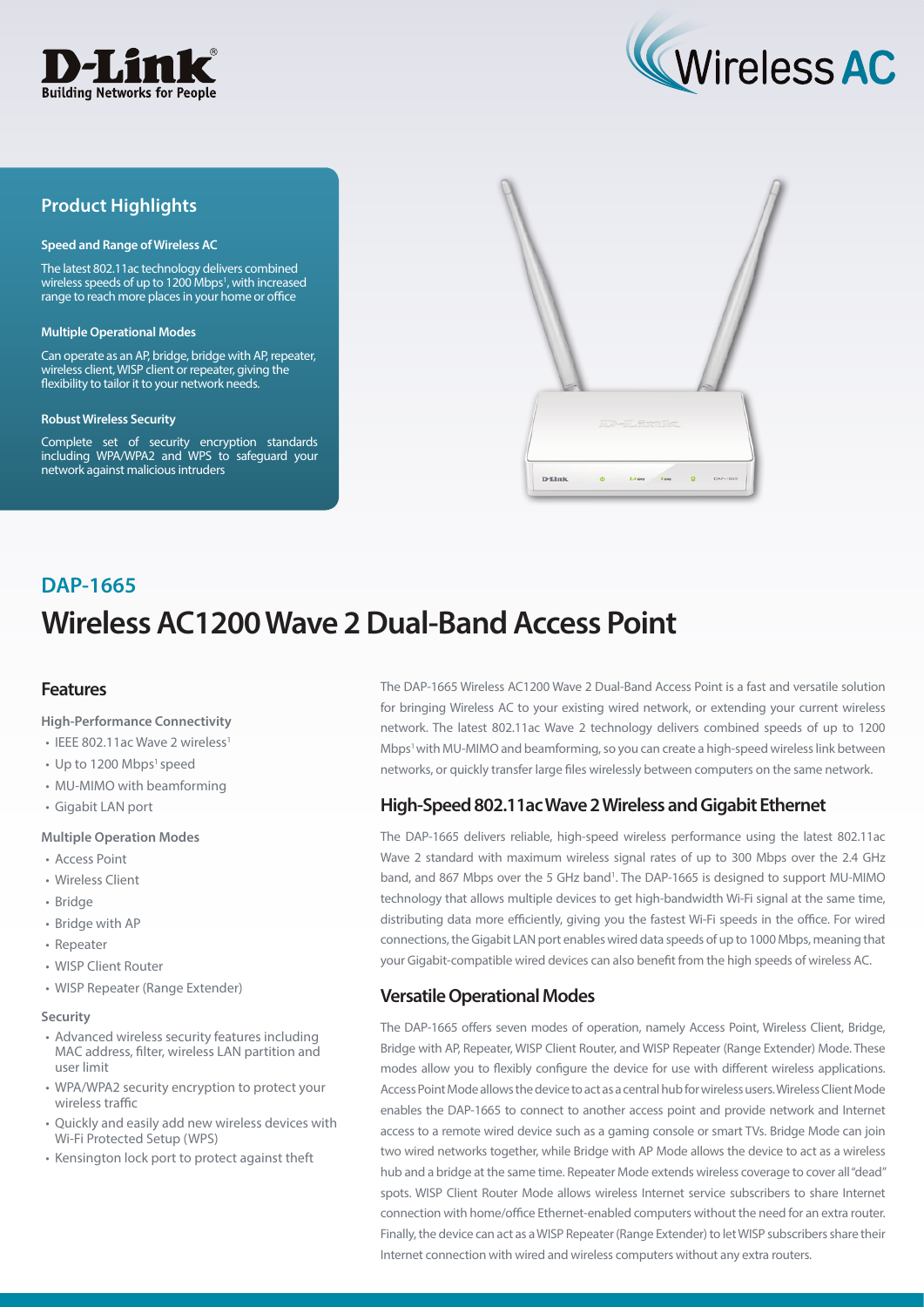



## **Product Highlights**

#### **Speed and Range of Wireless AC**

The latest 802.11ac technology delivers combined wireless speeds of up to 1200 Mbps<sup>1</sup>, with increased range to reach more places in your home or office

#### **Multiple Operational Modes**

Can operate as an AP, bridge, bridge with AP, repeater, wireless client, WISP client or repeater, giving the flexibility to tailor it to your network needs.

#### **Robust Wireless Security**

Complete set of security encryption standards including WPA/WPA2 and WPS to safeguard your network against malicious intruders



# **Wireless AC1200 Wave 2 Dual-Band Access Point DAP-1665**

### **Features**

#### **High-Performance Connectivity**

- IEEE 802.11ac Wave 2 wireless<sup>1</sup>
- Up to 1200 Mbps<sup>1</sup> speed
- MU-MIMO with beamforming
- Gigabit LAN port

#### **Multiple Operation Modes**

- Access Point
- Wireless Client
- Bridge
- Bridge with AP
- Repeater
- WISP Client Router
- WISP Repeater (Range Extender)

#### **Security**

- Advanced wireless security features including MAC address, filter, wireless LAN partition and user limit
- WPA/WPA2 security encryption to protect your wireless traffic
- Quickly and easily add new wireless devices with Wi-Fi Protected Setup (WPS)
- Kensington lock port to protect against theft

The DAP-1665 Wireless AC1200 Wave 2 Dual-Band Access Point is a fast and versatile solution for bringing Wireless AC to your existing wired network, or extending your current wireless network. The latest 802.11ac Wave 2 technology delivers combined speeds of up to 1200 Mbps<sup>1</sup> with MU-MIMO and beamforming, so you can create a high-speed wireless link between networks, or quickly transfer large files wirelessly between computers on the same network.

## **High-Speed 802.11ac Wave 2 Wireless and Gigabit Ethernet**

The DAP-1665 delivers reliable, high-speed wireless performance using the latest 802.11ac Wave 2 standard with maximum wireless signal rates of up to 300 Mbps over the 2.4 GHz band, and 867 Mbps over the 5 GHz band<sup>1</sup>. The DAP-1665 is designed to support MU-MIMO technology that allows multiple devices to get high-bandwidth Wi-Fi signal at the same time, distributing data more efficiently, giving you the fastest Wi-Fi speeds in the office. For wired connections, the Gigabit LAN port enables wired data speeds of up to 1000 Mbps, meaning that your Gigabit-compatible wired devices can also benefit from the high speeds of wireless AC.

## **Versatile Operational Modes**

The DAP-1665 offers seven modes of operation, namely Access Point, Wireless Client, Bridge, Bridge with AP, Repeater, WISP Client Router, and WISP Repeater (Range Extender) Mode. These modes allow you to flexibly configure the device for use with different wireless applications. Access Point Mode allows the device to act as a central hub for wireless users. Wireless Client Mode enables the DAP-1665 to connect to another access point and provide network and Internet access to a remote wired device such as a gaming console or smart TVs. Bridge Mode can join two wired networks together, while Bridge with AP Mode allows the device to act as a wireless hub and a bridge at the same time. Repeater Mode extends wireless coverage to cover all "dead" spots. WISP Client Router Mode allows wireless Internet service subscribers to share Internet connection with home/office Ethernet-enabled computers without the need for an extra router. Finally, the device can act as a WISP Repeater (Range Extender) to let WISP subscribers share their Internet connection with wired and wireless computers without any extra routers.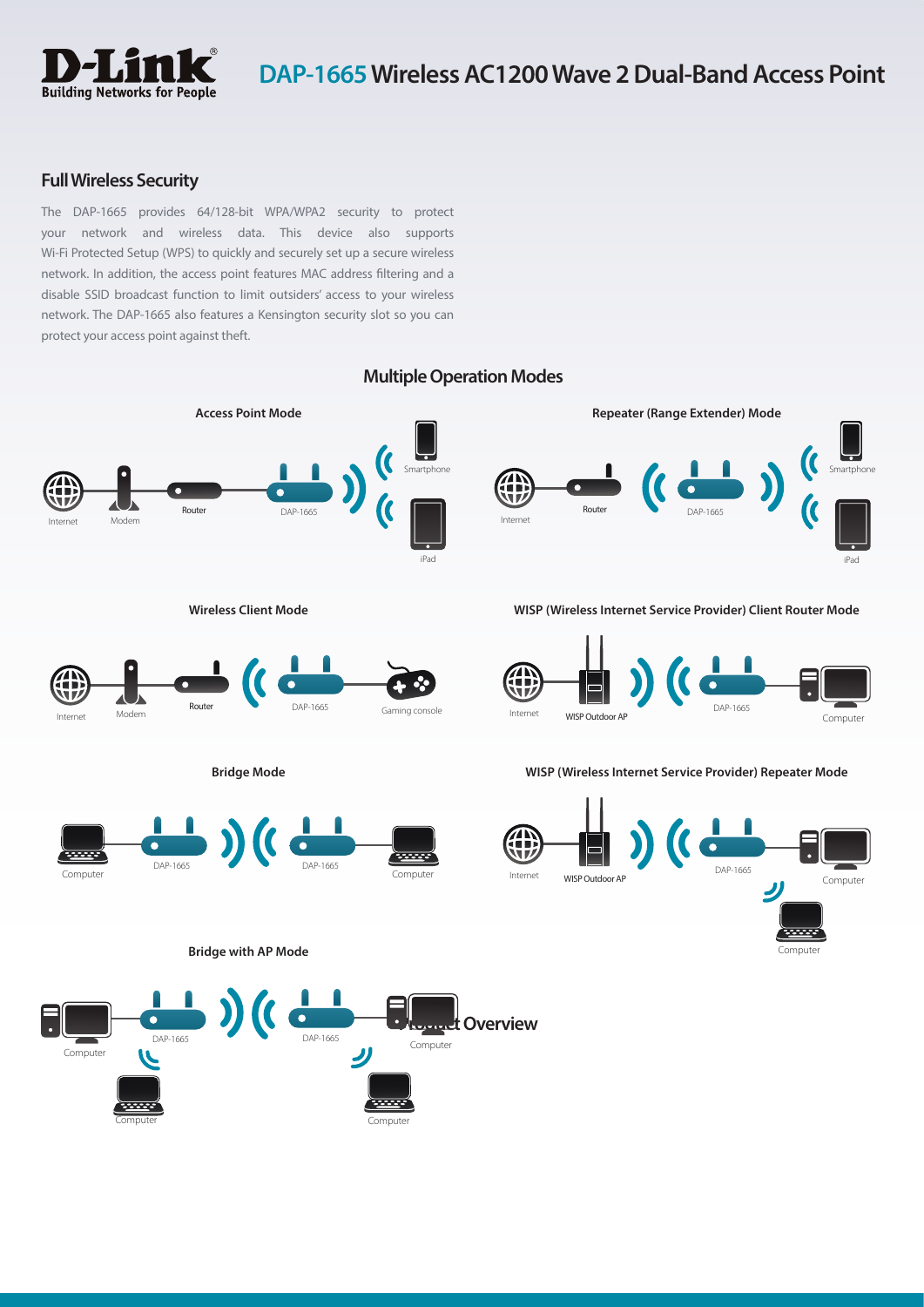

## **Full Wireless Security**

The DAP-1665 provides 64/128-bit WPA/WPA2 security to protect your network and wireless data. This device also supports Wi-Fi Protected Setup (WPS) to quickly and securely set up a secure wireless network. In addition, the access point features MAC address filtering and a disable SSID broadcast function to limit outsiders' access to your wireless network. The DAP-1665 also features a Kensington security slot so you can protect your access point against theft.



## **Multiple Operation Modes**